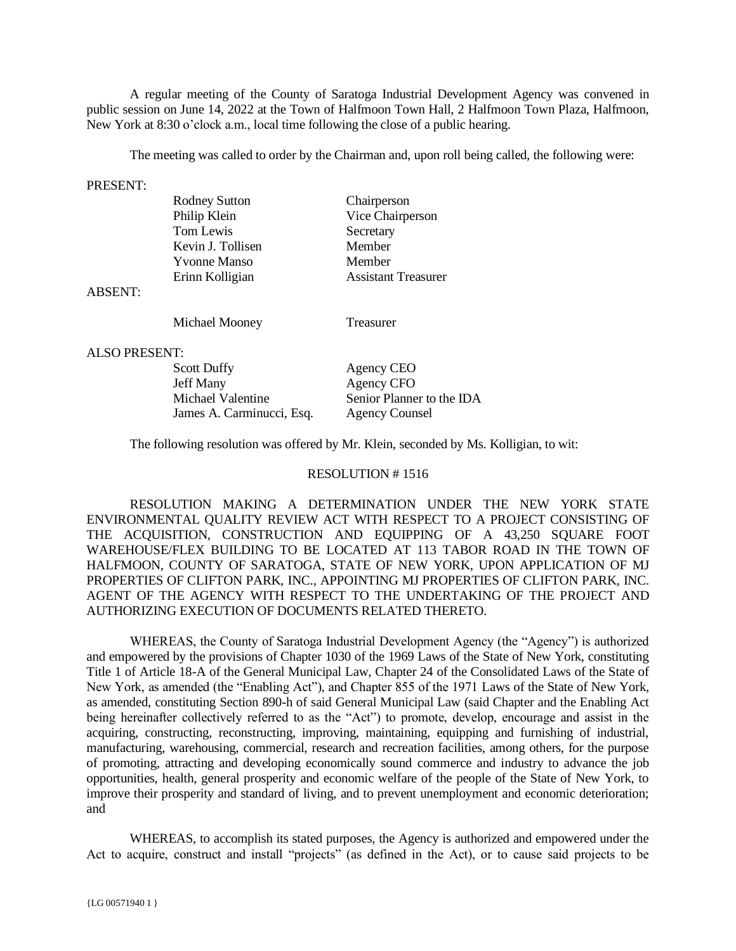A regular meeting of the County of Saratoga Industrial Development Agency was convened in public session on June 14, 2022 at the Town of Halfmoon Town Hall, 2 Halfmoon Town Plaza, Halfmoon, New York at 8:30 o'clock a.m., local time following the close of a public hearing.

The meeting was called to order by the Chairman and, upon roll being called, the following were:

### PRESENT:

| <b>Rodney Sutton</b> | Chairperson                |
|----------------------|----------------------------|
| Philip Klein         | Vice Chairperson           |
| Tom Lewis            | Secretary                  |
| Kevin J. Tollisen    | Member                     |
| <b>Yvonne Manso</b>  | Member                     |
| Erinn Kolligian      | <b>Assistant Treasurer</b> |

#### ABSENT:

Michael Mooney Treasurer

#### ALSO PRESENT:

| Agency CEO                |
|---------------------------|
| Agency CFO                |
| Senior Planner to the IDA |
| <b>Agency Counsel</b>     |
|                           |

The following resolution was offered by Mr. Klein, seconded by Ms. Kolligian, to wit:

#### RESOLUTION # 1516

RESOLUTION MAKING A DETERMINATION UNDER THE NEW YORK STATE ENVIRONMENTAL QUALITY REVIEW ACT WITH RESPECT TO A PROJECT CONSISTING OF THE ACQUISITION, CONSTRUCTION AND EQUIPPING OF A 43,250 SQUARE FOOT WAREHOUSE/FLEX BUILDING TO BE LOCATED AT 113 TABOR ROAD IN THE TOWN OF HALFMOON, COUNTY OF SARATOGA, STATE OF NEW YORK, UPON APPLICATION OF MJ PROPERTIES OF CLIFTON PARK, INC., APPOINTING MJ PROPERTIES OF CLIFTON PARK, INC. AGENT OF THE AGENCY WITH RESPECT TO THE UNDERTAKING OF THE PROJECT AND AUTHORIZING EXECUTION OF DOCUMENTS RELATED THERETO.

WHEREAS, the County of Saratoga Industrial Development Agency (the "Agency") is authorized and empowered by the provisions of Chapter 1030 of the 1969 Laws of the State of New York, constituting Title 1 of Article 18-A of the General Municipal Law, Chapter 24 of the Consolidated Laws of the State of New York, as amended (the "Enabling Act"), and Chapter 855 of the 1971 Laws of the State of New York, as amended, constituting Section 890-h of said General Municipal Law (said Chapter and the Enabling Act being hereinafter collectively referred to as the "Act") to promote, develop, encourage and assist in the acquiring, constructing, reconstructing, improving, maintaining, equipping and furnishing of industrial, manufacturing, warehousing, commercial, research and recreation facilities, among others, for the purpose of promoting, attracting and developing economically sound commerce and industry to advance the job opportunities, health, general prosperity and economic welfare of the people of the State of New York, to improve their prosperity and standard of living, and to prevent unemployment and economic deterioration; and

WHEREAS, to accomplish its stated purposes, the Agency is authorized and empowered under the Act to acquire, construct and install "projects" (as defined in the Act), or to cause said projects to be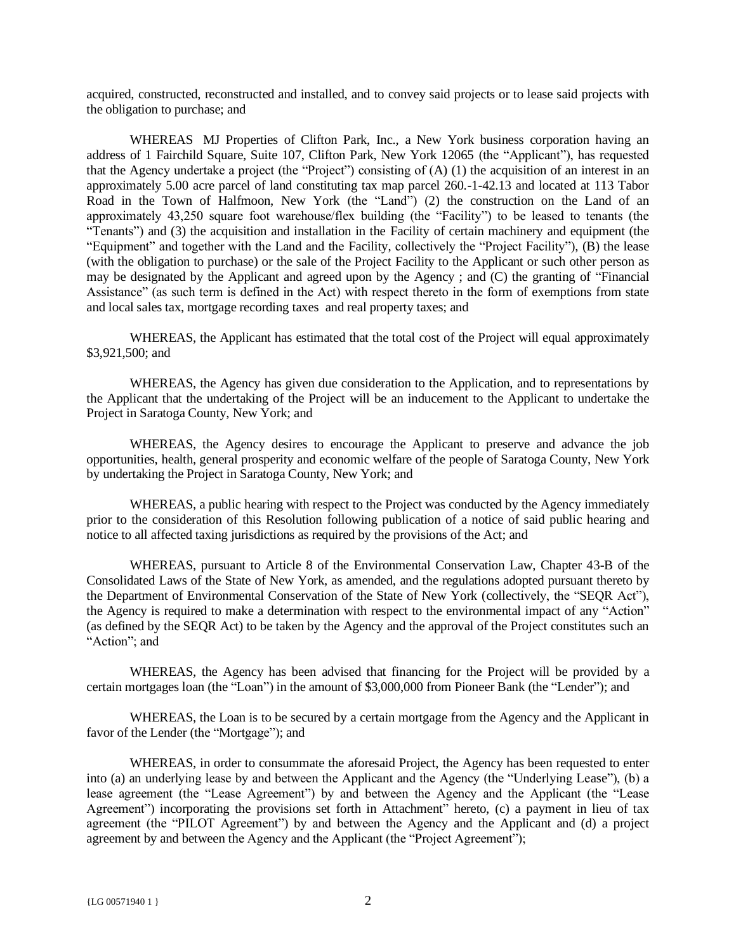acquired, constructed, reconstructed and installed, and to convey said projects or to lease said projects with the obligation to purchase; and

WHEREAS MJ Properties of Clifton Park, Inc., a New York business corporation having an address of 1 Fairchild Square, Suite 107, Clifton Park, New York 12065 (the "Applicant"), has requested that the Agency undertake a project (the "Project") consisting of (A) (1) the acquisition of an interest in an approximately 5.00 acre parcel of land constituting tax map parcel 260.-1-42.13 and located at 113 Tabor Road in the Town of Halfmoon, New York (the "Land") (2) the construction on the Land of an approximately 43,250 square foot warehouse/flex building (the "Facility") to be leased to tenants (the "Tenants") and (3) the acquisition and installation in the Facility of certain machinery and equipment (the "Equipment" and together with the Land and the Facility, collectively the "Project Facility"), (B) the lease (with the obligation to purchase) or the sale of the Project Facility to the Applicant or such other person as may be designated by the Applicant and agreed upon by the Agency ; and (C) the granting of "Financial Assistance" (as such term is defined in the Act) with respect thereto in the form of exemptions from state and local sales tax, mortgage recording taxes and real property taxes; and

WHEREAS, the Applicant has estimated that the total cost of the Project will equal approximately \$3,921,500; and

WHEREAS, the Agency has given due consideration to the Application, and to representations by the Applicant that the undertaking of the Project will be an inducement to the Applicant to undertake the Project in Saratoga County, New York; and

WHEREAS, the Agency desires to encourage the Applicant to preserve and advance the job opportunities, health, general prosperity and economic welfare of the people of Saratoga County, New York by undertaking the Project in Saratoga County, New York; and

WHEREAS, a public hearing with respect to the Project was conducted by the Agency immediately prior to the consideration of this Resolution following publication of a notice of said public hearing and notice to all affected taxing jurisdictions as required by the provisions of the Act; and

WHEREAS, pursuant to Article 8 of the Environmental Conservation Law, Chapter 43-B of the Consolidated Laws of the State of New York, as amended, and the regulations adopted pursuant thereto by the Department of Environmental Conservation of the State of New York (collectively, the "SEQR Act"), the Agency is required to make a determination with respect to the environmental impact of any "Action" (as defined by the SEQR Act) to be taken by the Agency and the approval of the Project constitutes such an "Action"; and

WHEREAS, the Agency has been advised that financing for the Project will be provided by a certain mortgages loan (the "Loan") in the amount of \$3,000,000 from Pioneer Bank (the "Lender"); and

WHEREAS, the Loan is to be secured by a certain mortgage from the Agency and the Applicant in favor of the Lender (the "Mortgage"); and

WHEREAS, in order to consummate the aforesaid Project, the Agency has been requested to enter into (a) an underlying lease by and between the Applicant and the Agency (the "Underlying Lease"), (b) a lease agreement (the "Lease Agreement") by and between the Agency and the Applicant (the "Lease Agreement") incorporating the provisions set forth in Attachment" hereto, (c) a payment in lieu of tax agreement (the "PILOT Agreement") by and between the Agency and the Applicant and (d) a project agreement by and between the Agency and the Applicant (the "Project Agreement");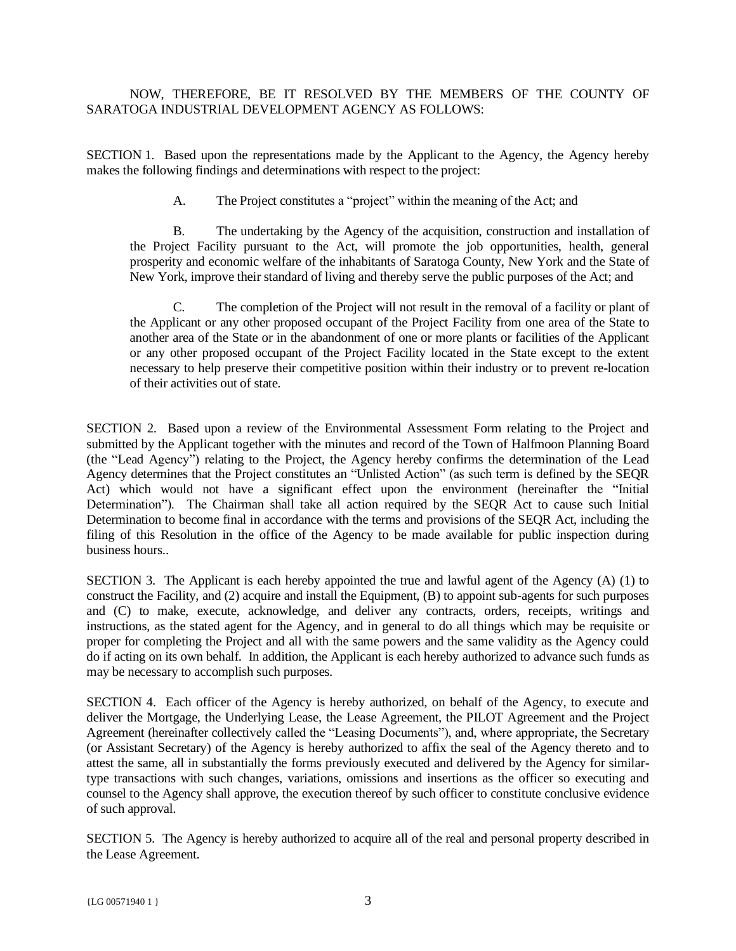# NOW, THEREFORE, BE IT RESOLVED BY THE MEMBERS OF THE COUNTY OF SARATOGA INDUSTRIAL DEVELOPMENT AGENCY AS FOLLOWS:

SECTION 1. Based upon the representations made by the Applicant to the Agency, the Agency hereby makes the following findings and determinations with respect to the project:

A. The Project constitutes a "project" within the meaning of the Act; and

B. The undertaking by the Agency of the acquisition, construction and installation of the Project Facility pursuant to the Act, will promote the job opportunities, health, general prosperity and economic welfare of the inhabitants of Saratoga County, New York and the State of New York, improve their standard of living and thereby serve the public purposes of the Act; and

C. The completion of the Project will not result in the removal of a facility or plant of the Applicant or any other proposed occupant of the Project Facility from one area of the State to another area of the State or in the abandonment of one or more plants or facilities of the Applicant or any other proposed occupant of the Project Facility located in the State except to the extent necessary to help preserve their competitive position within their industry or to prevent re-location of their activities out of state.

SECTION 2. Based upon a review of the Environmental Assessment Form relating to the Project and submitted by the Applicant together with the minutes and record of the Town of Halfmoon Planning Board (the "Lead Agency") relating to the Project, the Agency hereby confirms the determination of the Lead Agency determines that the Project constitutes an "Unlisted Action" (as such term is defined by the SEQR Act) which would not have a significant effect upon the environment (hereinafter the "Initial Determination"). The Chairman shall take all action required by the SEQR Act to cause such Initial Determination to become final in accordance with the terms and provisions of the SEQR Act, including the filing of this Resolution in the office of the Agency to be made available for public inspection during business hours..

SECTION 3. The Applicant is each hereby appointed the true and lawful agent of the Agency (A) (1) to construct the Facility, and (2) acquire and install the Equipment, (B) to appoint sub-agents for such purposes and (C) to make, execute, acknowledge, and deliver any contracts, orders, receipts, writings and instructions, as the stated agent for the Agency, and in general to do all things which may be requisite or proper for completing the Project and all with the same powers and the same validity as the Agency could do if acting on its own behalf. In addition, the Applicant is each hereby authorized to advance such funds as may be necessary to accomplish such purposes.

SECTION 4. Each officer of the Agency is hereby authorized, on behalf of the Agency, to execute and deliver the Mortgage, the Underlying Lease, the Lease Agreement, the PILOT Agreement and the Project Agreement (hereinafter collectively called the "Leasing Documents"), and, where appropriate, the Secretary (or Assistant Secretary) of the Agency is hereby authorized to affix the seal of the Agency thereto and to attest the same, all in substantially the forms previously executed and delivered by the Agency for similartype transactions with such changes, variations, omissions and insertions as the officer so executing and counsel to the Agency shall approve, the execution thereof by such officer to constitute conclusive evidence of such approval.

SECTION 5. The Agency is hereby authorized to acquire all of the real and personal property described in the Lease Agreement.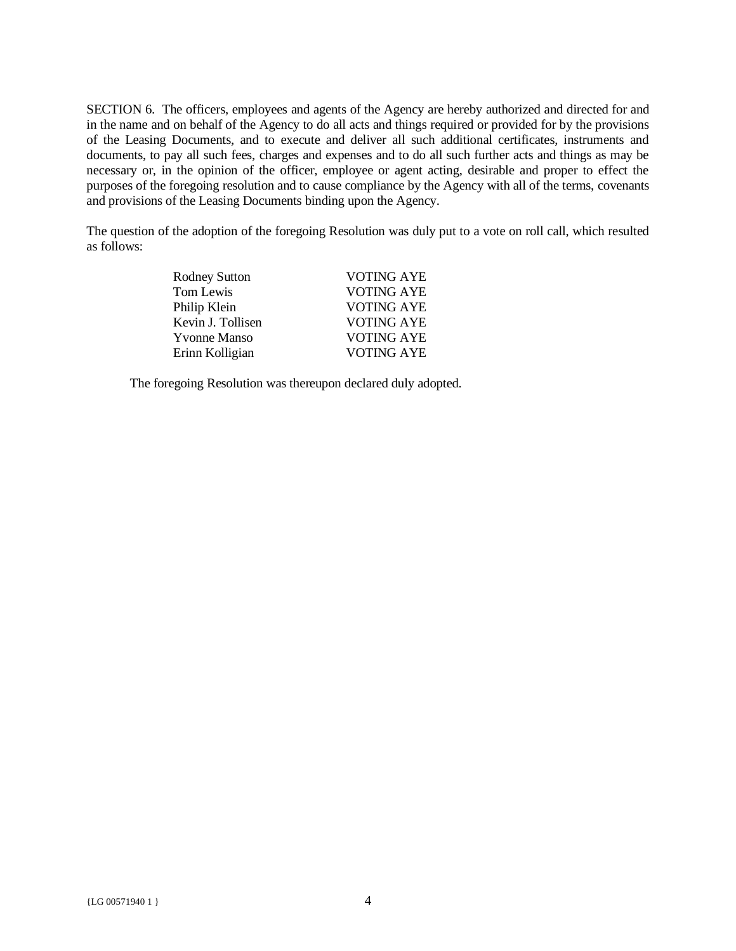SECTION 6. The officers, employees and agents of the Agency are hereby authorized and directed for and in the name and on behalf of the Agency to do all acts and things required or provided for by the provisions of the Leasing Documents, and to execute and deliver all such additional certificates, instruments and documents, to pay all such fees, charges and expenses and to do all such further acts and things as may be necessary or, in the opinion of the officer, employee or agent acting, desirable and proper to effect the purposes of the foregoing resolution and to cause compliance by the Agency with all of the terms, covenants and provisions of the Leasing Documents binding upon the Agency.

The question of the adoption of the foregoing Resolution was duly put to a vote on roll call, which resulted as follows:

| <b>Rodney Sutton</b> | VOTING AYE        |
|----------------------|-------------------|
| Tom Lewis            | <b>VOTING AYE</b> |
| Philip Klein         | <b>VOTING AYE</b> |
| Kevin J. Tollisen    | <b>VOTING AYE</b> |
| <b>Yvonne Manso</b>  | VOTING AYE        |
| Erinn Kolligian      | <b>VOTING AYE</b> |

The foregoing Resolution was thereupon declared duly adopted.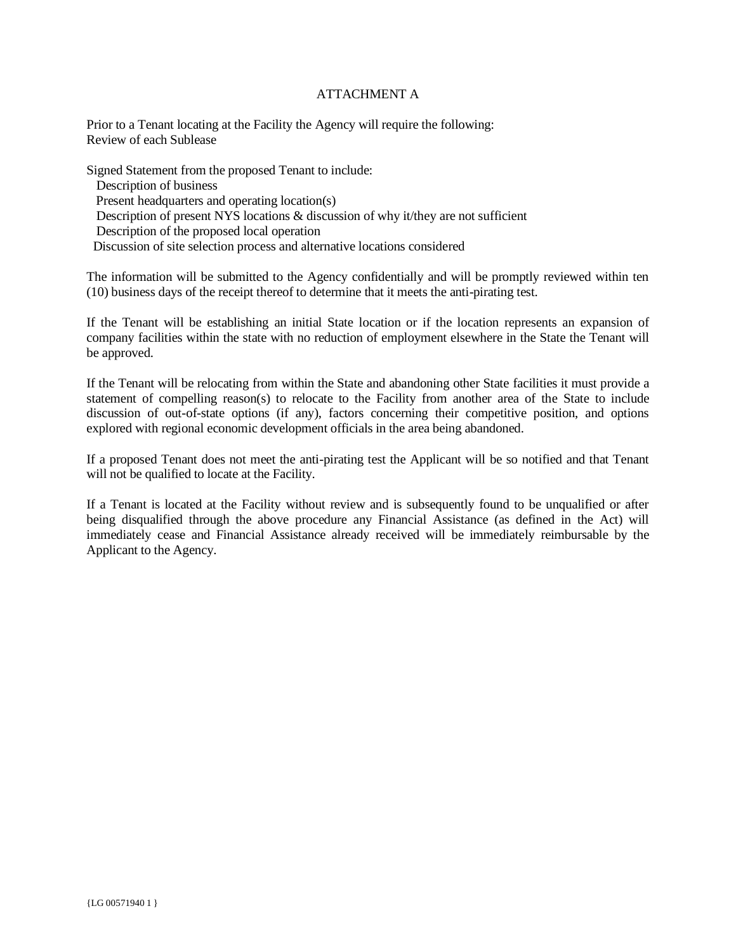### ATTACHMENT A

Prior to a Tenant locating at the Facility the Agency will require the following: Review of each Sublease

Signed Statement from the proposed Tenant to include: Description of business Present headquarters and operating location(s) Description of present NYS locations & discussion of why it/they are not sufficient Description of the proposed local operation Discussion of site selection process and alternative locations considered

The information will be submitted to the Agency confidentially and will be promptly reviewed within ten (10) business days of the receipt thereof to determine that it meets the anti-pirating test.

If the Tenant will be establishing an initial State location or if the location represents an expansion of company facilities within the state with no reduction of employment elsewhere in the State the Tenant will be approved.

If the Tenant will be relocating from within the State and abandoning other State facilities it must provide a statement of compelling reason(s) to relocate to the Facility from another area of the State to include discussion of out-of-state options (if any), factors concerning their competitive position, and options explored with regional economic development officials in the area being abandoned.

If a proposed Tenant does not meet the anti-pirating test the Applicant will be so notified and that Tenant will not be qualified to locate at the Facility.

If a Tenant is located at the Facility without review and is subsequently found to be unqualified or after being disqualified through the above procedure any Financial Assistance (as defined in the Act) will immediately cease and Financial Assistance already received will be immediately reimbursable by the Applicant to the Agency.